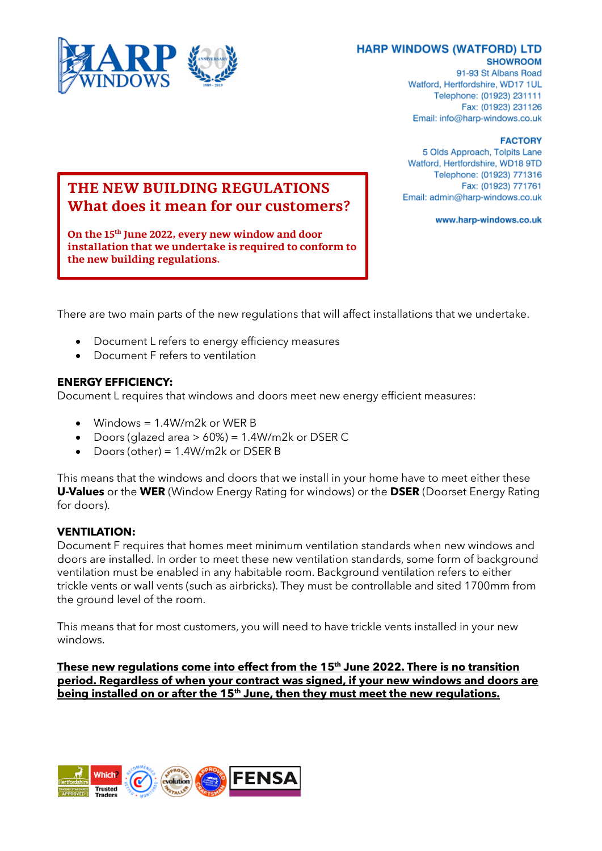

91-93 St Albans Road Watford, Hertfordshire, WD17 1UL Telephone: (01923) 231111 Fax: (01923) 231126 Email: info@harp-windows.co.uk

#### **FACTORY**

5 Olds Approach, Tolpits Lane Watford, Hertfordshire, WD18 9TD Telephone: (01923) 771316 Fax: (01923) 771761 Email: admin@harp-windows.co.uk

www.harp-windows.co.uk

## **THE NEW BUILDING REGULATIONS What does it mean for our customers?**

**On the 15th June 2022, every new window and door installation that we undertake is required to conform to the new building regulations.**

There are two main parts of the new regulations that will affect installations that we undertake.

- Document L refers to energy efficiency measures
- Document F refers to ventilation

### **ENERGY EFFICIENCY:**

Document L requires that windows and doors meet new energy efficient measures:

- Windows = 1.4W/m2k or WER B
- Doors (glazed area  $> 60\%$ ) = 1.4W/m2k or DSER C
- Doors (other) = 1.4W/m2k or DSER B

This means that the windows and doors that we install in your home have to meet either these **U-Values** or the **WER** (Window Energy Rating for windows) or the **DSER** (Doorset Energy Rating for doors).

### **VENTILATION:**

Document F requires that homes meet minimum ventilation standards when new windows and doors are installed. In order to meet these new ventilation standards, some form of background ventilation must be enabled in any habitable room. Background ventilation refers to either trickle vents or wall vents (such as airbricks). They must be controllable and sited 1700mm from the ground level of the room.

This means that for most customers, you will need to have trickle vents installed in your new windows.

**These new regulations come into effect from the 15th June 2022. There is no transition period. Regardless of when your contract was signed, if your new windows and doors are being installed on or after the 15th June, then they must meet the new regulations.**

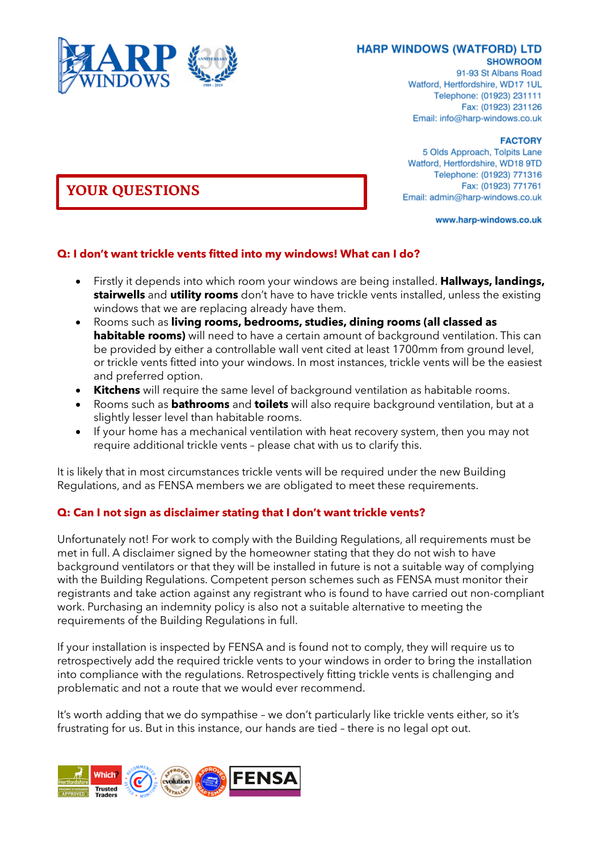

91-93 St Albans Road Watford, Hertfordshire, WD17 1UL Telephone: (01923) 231111 Fax: (01923) 231126 Email: info@harp-windows.co.uk

#### **FACTORY**

5 Olds Approach, Tolpits Lane Watford, Hertfordshire, WD18 9TD Telephone: (01923) 771316 Fax: (01923) 771761 Email: admin@harp-windows.co.uk

www.harp-windows.co.uk

# **Q: I don't want trickle vents fitted into my windows! What can I do?**

- Firstly it depends into which room your windows are being installed. **Hallways, landings, stairwells** and **utility rooms** don't have to have trickle vents installed, unless the existing windows that we are replacing already have them.
- Rooms such as **living rooms, bedrooms, studies, dining rooms (all classed as habitable rooms)** will need to have a certain amount of background ventilation. This can be provided by either a controllable wall vent cited at least 1700mm from ground level, or trickle vents fitted into your windows. In most instances, trickle vents will be the easiest and preferred option.
- **Kitchens** will require the same level of background ventilation as habitable rooms.
- Rooms such as **bathrooms** and **toilets** will also require background ventilation, but at a slightly lesser level than habitable rooms.
- If your home has a mechanical ventilation with heat recovery system, then you may not require additional trickle vents – please chat with us to clarify this.

It is likely that in most circumstances trickle vents will be required under the new Building Regulations, and as FENSA members we are obligated to meet these requirements.

### **Q: Can I not sign as disclaimer stating that I don't want trickle vents?**

Unfortunately not! For work to comply with the Building Regulations, all requirements must be met in full. A disclaimer signed by the homeowner stating that they do not wish to have background ventilators or that they will be installed in future is not a suitable way of complying with the Building Regulations. Competent person schemes such as FENSA must monitor their registrants and take action against any registrant who is found to have carried out non-compliant work. Purchasing an indemnity policy is also not a suitable alternative to meeting the requirements of the Building Regulations in full.

If your installation is inspected by FENSA and is found not to comply, they will require us to retrospectively add the required trickle vents to your windows in order to bring the installation into compliance with the regulations. Retrospectively fitting trickle vents is challenging and problematic and not a route that we would ever recommend.

It's worth adding that we do sympathise – we don't particularly like trickle vents either, so it's frustrating for us. But in this instance, our hands are tied – there is no legal opt out.



## **YOUR QUESTIONS**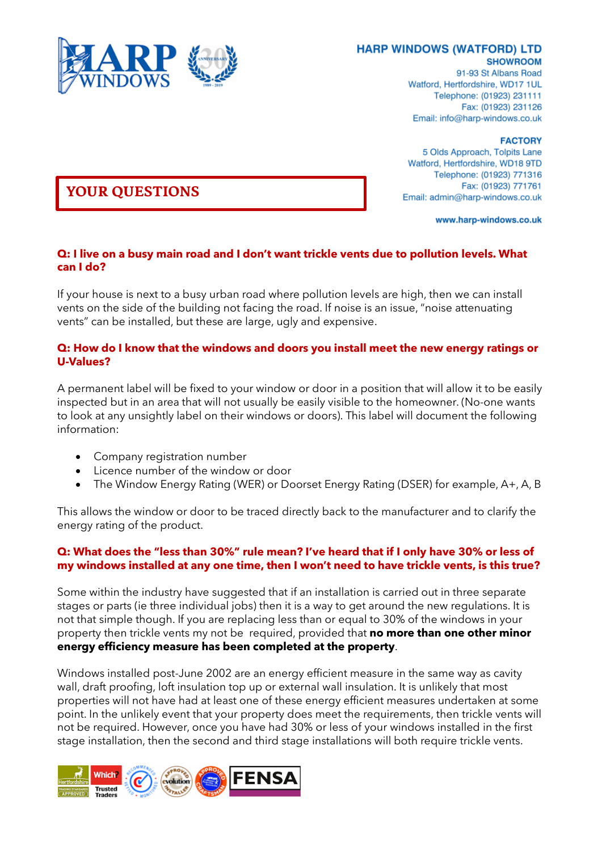

91-93 St Albans Road Watford, Hertfordshire, WD17 1UL Telephone: (01923) 231111 Fax: (01923) 231126 Email: info@harp-windows.co.uk

**FACTORY** 

5 Olds Approach, Tolpits Lane Watford, Hertfordshire, WD18 9TD Telephone: (01923) 771316 Fax: (01923) 771761 Email: admin@harp-windows.co.uk

www.harp-windows.co.uk

#### **Q: I live on a busy main road and I don't want trickle vents due to pollution levels. What can I do?**

If your house is next to a busy urban road where pollution levels are high, then we can install vents on the side of the building not facing the road. If noise is an issue, "noise attenuating vents" can be installed, but these are large, ugly and expensive.

#### **Q: How do I know that the windows and doors you install meet the new energy ratings or U-Values?**

A permanent label will be fixed to your window or door in a position that will allow it to be easily inspected but in an area that will not usually be easily visible to the homeowner. (No-one wants to look at any unsightly label on their windows or doors). This label will document the following information:

- Company registration number
- Licence number of the window or door
- The Window Energy Rating (WER) or Doorset Energy Rating (DSER) for example, A+, A, B

This allows the window or door to be traced directly back to the manufacturer and to clarify the energy rating of the product.

### **Q: What does the "less than 30%" rule mean? I've heard that if I only have 30% or less of my windows installed at any one time, then I won't need to have trickle vents, is this true?**

Some within the industry have suggested that if an installation is carried out in three separate stages or parts (ie three individual jobs) then it is a way to get around the new regulations. It is not that simple though. If you are replacing less than or equal to 30% of the windows in your property then trickle vents my not be required, provided that **no more than one other minor energy efficiency measure has been completed at the property**.

Windows installed post-June 2002 are an energy efficient measure in the same way as cavity wall, draft proofing, loft insulation top up or external wall insulation. It is unlikely that most properties will not have had at least one of these energy efficient measures undertaken at some point. In the unlikely event that your property does meet the requirements, then trickle vents will not be required. However, once you have had 30% or less of your windows installed in the first stage installation, then the second and third stage installations will both require trickle vents.



## **YOUR QUESTIONS**